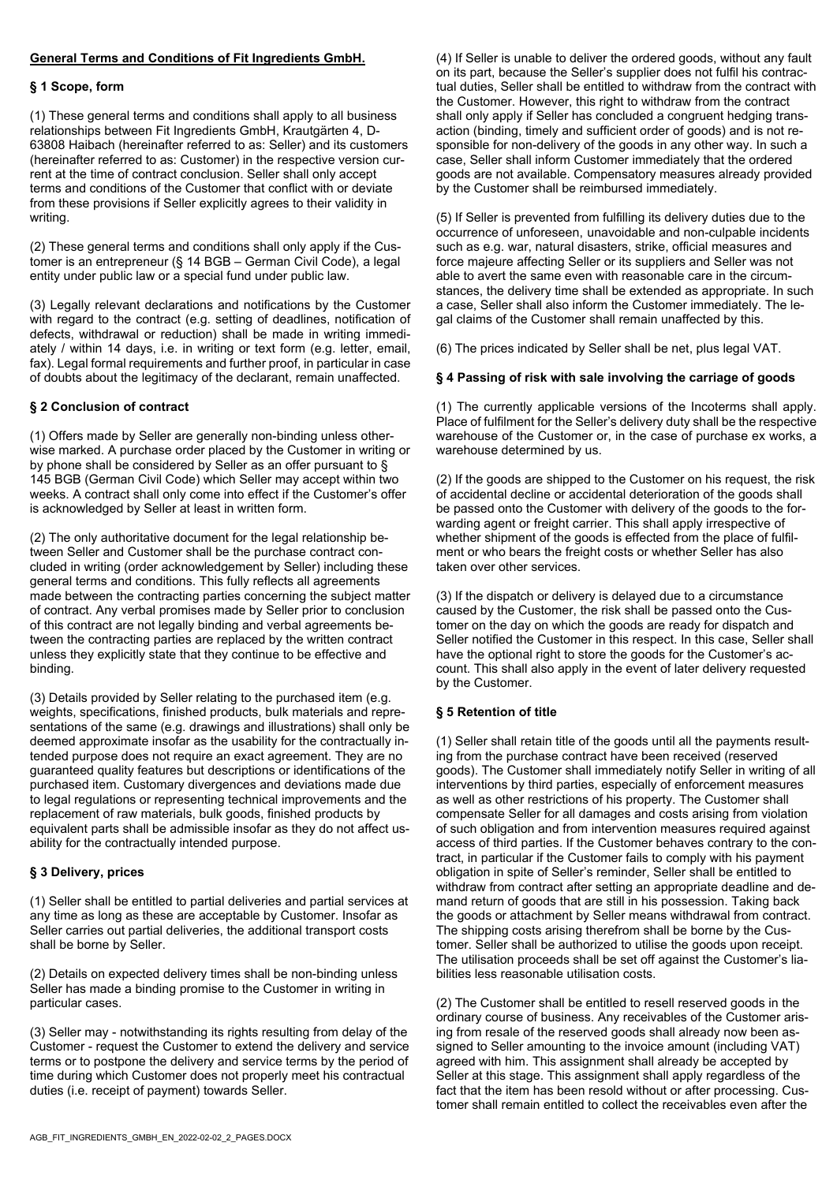# **General Terms and Conditions of Fit Ingredients GmbH.**

#### **§ 1 Scope, form**

(1) These general terms and conditions shall apply to all business relationships between Fit Ingredients GmbH, Krautgärten 4, D-63808 Haibach (hereinafter referred to as: Seller) and its customers (hereinafter referred to as: Customer) in the respective version current at the time of contract conclusion. Seller shall only accept terms and conditions of the Customer that conflict with or deviate from these provisions if Seller explicitly agrees to their validity in writing.

(2) These general terms and conditions shall only apply if the Customer is an entrepreneur (§ 14 BGB – German Civil Code), a legal entity under public law or a special fund under public law.

(3) Legally relevant declarations and notifications by the Customer with regard to the contract (e.g. setting of deadlines, notification of defects, withdrawal or reduction) shall be made in writing immediately / within 14 days, i.e. in writing or text form (e.g. letter, email, fax). Legal formal requirements and further proof, in particular in case of doubts about the legitimacy of the declarant, remain unaffected.

## **§ 2 Conclusion of contract**

(1) Offers made by Seller are generally non-binding unless otherwise marked. A purchase order placed by the Customer in writing or by phone shall be considered by Seller as an offer pursuant to § 145 BGB (German Civil Code) which Seller may accept within two weeks. A contract shall only come into effect if the Customer's offer is acknowledged by Seller at least in written form.

(2) The only authoritative document for the legal relationship between Seller and Customer shall be the purchase contract concluded in writing (order acknowledgement by Seller) including these general terms and conditions. This fully reflects all agreements made between the contracting parties concerning the subject matter of contract. Any verbal promises made by Seller prior to conclusion of this contract are not legally binding and verbal agreements between the contracting parties are replaced by the written contract unless they explicitly state that they continue to be effective and binding.

(3) Details provided by Seller relating to the purchased item (e.g. weights, specifications, finished products, bulk materials and representations of the same (e.g. drawings and illustrations) shall only be deemed approximate insofar as the usability for the contractually intended purpose does not require an exact agreement. They are no guaranteed quality features but descriptions or identifications of the purchased item. Customary divergences and deviations made due to legal regulations or representing technical improvements and the replacement of raw materials, bulk goods, finished products by equivalent parts shall be admissible insofar as they do not affect usability for the contractually intended purpose.

## **§ 3 Delivery, prices**

(1) Seller shall be entitled to partial deliveries and partial services at any time as long as these are acceptable by Customer. Insofar as Seller carries out partial deliveries, the additional transport costs shall be borne by Seller.

(2) Details on expected delivery times shall be non-binding unless Seller has made a binding promise to the Customer in writing in particular cases.

(3) Seller may - notwithstanding its rights resulting from delay of the Customer - request the Customer to extend the delivery and service terms or to postpone the delivery and service terms by the period of time during which Customer does not properly meet his contractual duties (i.e. receipt of payment) towards Seller.

(4) If Seller is unable to deliver the ordered goods, without any fault on its part, because the Seller's supplier does not fulfil his contractual duties, Seller shall be entitled to withdraw from the contract with the Customer. However, this right to withdraw from the contract shall only apply if Seller has concluded a congruent hedging transaction (binding, timely and sufficient order of goods) and is not responsible for non-delivery of the goods in any other way. In such a case, Seller shall inform Customer immediately that the ordered goods are not available. Compensatory measures already provided by the Customer shall be reimbursed immediately.

(5) If Seller is prevented from fulfilling its delivery duties due to the occurrence of unforeseen, unavoidable and non-culpable incidents such as e.g. war, natural disasters, strike, official measures and force majeure affecting Seller or its suppliers and Seller was not able to avert the same even with reasonable care in the circumstances, the delivery time shall be extended as appropriate. In such a case, Seller shall also inform the Customer immediately. The legal claims of the Customer shall remain unaffected by this.

(6) The prices indicated by Seller shall be net, plus legal VAT.

#### **§ 4 Passing of risk with sale involving the carriage of goods**

(1) The currently applicable versions of the Incoterms shall apply. Place of fulfilment for the Seller's delivery duty shall be the respective warehouse of the Customer or, in the case of purchase ex works, a warehouse determined by us.

(2) If the goods are shipped to the Customer on his request, the risk of accidental decline or accidental deterioration of the goods shall be passed onto the Customer with delivery of the goods to the forwarding agent or freight carrier. This shall apply irrespective of whether shipment of the goods is effected from the place of fulfilment or who bears the freight costs or whether Seller has also taken over other services.

(3) If the dispatch or delivery is delayed due to a circumstance caused by the Customer, the risk shall be passed onto the Customer on the day on which the goods are ready for dispatch and Seller notified the Customer in this respect. In this case, Seller shall have the optional right to store the goods for the Customer's account. This shall also apply in the event of later delivery requested by the Customer.

## **§ 5 Retention of title**

(1) Seller shall retain title of the goods until all the payments resulting from the purchase contract have been received (reserved goods). The Customer shall immediately notify Seller in writing of all interventions by third parties, especially of enforcement measures as well as other restrictions of his property. The Customer shall compensate Seller for all damages and costs arising from violation of such obligation and from intervention measures required against access of third parties. If the Customer behaves contrary to the contract, in particular if the Customer fails to comply with his payment obligation in spite of Seller's reminder, Seller shall be entitled to withdraw from contract after setting an appropriate deadline and demand return of goods that are still in his possession. Taking back the goods or attachment by Seller means withdrawal from contract. The shipping costs arising therefrom shall be borne by the Customer. Seller shall be authorized to utilise the goods upon receipt. The utilisation proceeds shall be set off against the Customer's liabilities less reasonable utilisation costs.

(2) The Customer shall be entitled to resell reserved goods in the ordinary course of business. Any receivables of the Customer arising from resale of the reserved goods shall already now been assigned to Seller amounting to the invoice amount (including VAT) agreed with him. This assignment shall already be accepted by Seller at this stage. This assignment shall apply regardless of the fact that the item has been resold without or after processing. Customer shall remain entitled to collect the receivables even after the